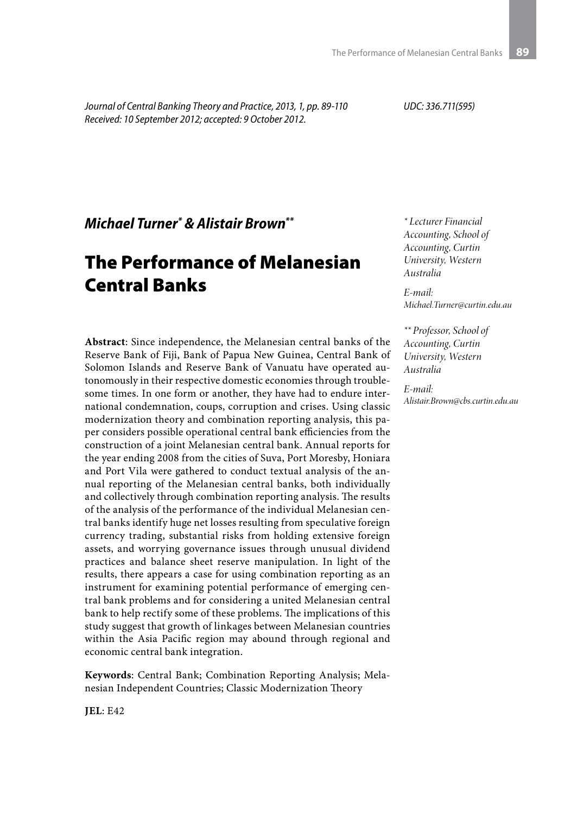*Journal of Central Banking Theory and Practice, 2013, 1, pp. 89-110 Received: 10 September 2012; accepted: 9 October 2012.*

*UDC: 336.711(595)*

*Michael Turner\* & Alistair Brown\*\**

# The Performance of Melanesian Central Banks

**Abstract**: Since independence, the Melanesian central banks of the Reserve Bank of Fiji, Bank of Papua New Guinea, Central Bank of Solomon Islands and Reserve Bank of Vanuatu have operated autonomously in their respective domestic economies through troublesome times. In one form or another, they have had to endure international condemnation, coups, corruption and crises. Using classic modernization theory and combination reporting analysis, this paper considers possible operational central bank efficiencies from the construction of a joint Melanesian central bank. Annual reports for the year ending 2008 from the cities of Suva, Port Moresby, Honiara and Port Vila were gathered to conduct textual analysis of the annual reporting of the Melanesian central banks, both individually and collectively through combination reporting analysis. The results of the analysis of the performance of the individual Melanesian central banks identify huge net losses resulting from speculative foreign currency trading, substantial risks from holding extensive foreign assets, and worrying governance issues through unusual dividend practices and balance sheet reserve manipulation. In light of the results, there appears a case for using combination reporting as an instrument for examining potential performance of emerging central bank problems and for considering a united Melanesian central bank to help rectify some of these problems. The implications of this study suggest that growth of linkages between Melanesian countries within the Asia Pacific region may abound through regional and economic central bank integration.

**Keywords**: Central Bank; Combination Reporting Analysis; Melanesian Independent Countries; Classic Modernization Theory

*\* Lecturer Financial Accounting, School of Accounting, Curtin University, Western Australia*

*E-mail: Michael.Turner@curtin.edu.au*

*\*\* Professor, School of Accounting, Curtin University, Western Australia*

*E-mail: Alistair.Brown@cbs.curtin.edu.au*

**JEL**: E42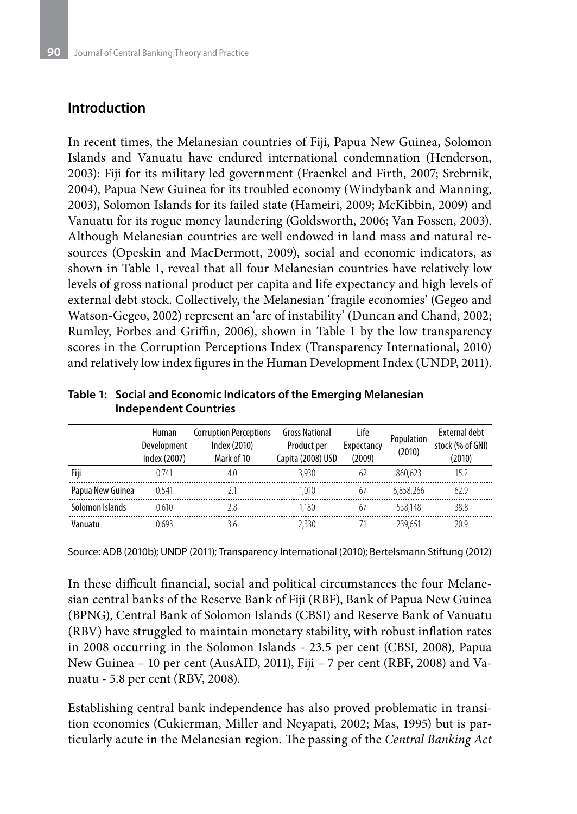#### **Introduction**

In recent times, the Melanesian countries of Fiji, Papua New Guinea, Solomon Islands and Vanuatu have endured international condemnation (Henderson, 2003): Fiji for its military led government (Fraenkel and Firth, 2007; Srebrnik, 2004), Papua New Guinea for its troubled economy (Windybank and Manning, 2003), Solomon Islands for its failed state (Hameiri, 2009; McKibbin, 2009) and Vanuatu for its rogue money laundering (Goldsworth, 2006; Van Fossen, 2003). Although Melanesian countries are well endowed in land mass and natural resources (Opeskin and MacDermott, 2009), social and economic indicators, as shown in Table 1, reveal that all four Melanesian countries have relatively low levels of gross national product per capita and life expectancy and high levels of external debt stock. Collectively, the Melanesian 'fragile economies' (Gegeo and Watson-Gegeo, 2002) represent an 'arc of instability' (Duncan and Chand, 2002; Rumley, Forbes and Griffin, 2006), shown in Table 1 by the low transparency scores in the Corruption Perceptions Index (Transparency International, 2010) and relatively low index figures in the Human Development Index (UNDP, 2011).

|                  | Human<br>Development<br>Index (2007) | <b>Corruption Perceptions</b><br>Index (2010)<br>Mark of 10 | <b>Gross National</b><br>Product per<br>Capita (2008) USD | Life<br>Expectancy<br>(2009) | Population<br>(2010) | <b>External debt</b><br>stock (% of GNI)<br>(2010) |
|------------------|--------------------------------------|-------------------------------------------------------------|-----------------------------------------------------------|------------------------------|----------------------|----------------------------------------------------|
| Fiji             | 0741                                 | 4.0                                                         | 3.930                                                     | 6/                           | 860.623              | 15 2                                               |
| Papua New Guinea | 0.541                                |                                                             | 1.010                                                     | 67                           | 6.858.266            | 62.9                                               |
| Solomon Islands  | 0 610                                | 28                                                          | 1.180                                                     | 67                           | 538.148              | 38.8                                               |
| Vanuatu          | ) 693                                |                                                             | 2.330                                                     |                              | 239.651              | 20 9                                               |

**Table 1: Social and Economic Indicators of the Emerging Melanesian Independent Countries**

Source: ADB (2010b); UNDP (2011); Transparency International (2010); Bertelsmann Stiftung (2012)

In these difficult financial, social and political circumstances the four Melanesian central banks of the Reserve Bank of Fiji (RBF), Bank of Papua New Guinea (BPNG), Central Bank of Solomon Islands (CBSI) and Reserve Bank of Vanuatu (RBV) have struggled to maintain monetary stability, with robust inflation rates in 2008 occurring in the Solomon Islands - 23.5 per cent (CBSI, 2008), Papua New Guinea – 10 per cent (AusAID, 2011), Fiji – 7 per cent (RBF, 2008) and Vanuatu - 5.8 per cent (RBV, 2008).

Establishing central bank independence has also proved problematic in transition economies (Cukierman, Miller and Neyapati, 2002; Mas, 1995) but is particularly acute in the Melanesian region. The passing of the *Central Banking Act*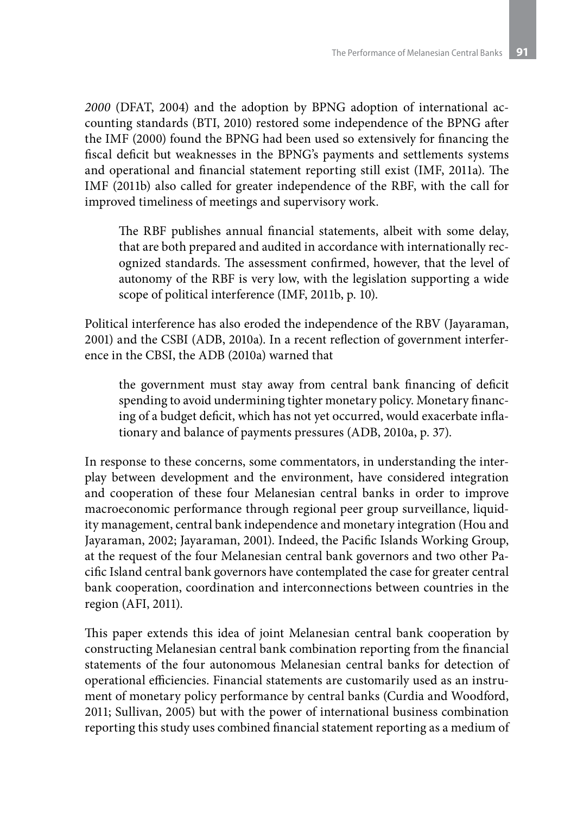*2000* (DFAT, 2004) and the adoption by BPNG adoption of international accounting standards (BTI, 2010) restored some independence of the BPNG after the IMF (2000) found the BPNG had been used so extensively for financing the fiscal deficit but weaknesses in the BPNG's payments and settlements systems and operational and financial statement reporting still exist (IMF, 2011a). The IMF (2011b) also called for greater independence of the RBF, with the call for improved timeliness of meetings and supervisory work.

The RBF publishes annual financial statements, albeit with some delay, that are both prepared and audited in accordance with internationally recognized standards. The assessment confirmed, however, that the level of autonomy of the RBF is very low, with the legislation supporting a wide scope of political interference (IMF, 2011b, p. 10).

Political interference has also eroded the independence of the RBV (Jayaraman, 2001) and the CSBI (ADB, 2010a). In a recent reflection of government interference in the CBSI, the ADB (2010a) warned that

the government must stay away from central bank financing of deficit spending to avoid undermining tighter monetary policy. Monetary financing of a budget deficit, which has not yet occurred, would exacerbate inflationary and balance of payments pressures (ADB, 2010a, p. 37).

In response to these concerns, some commentators, in understanding the interplay between development and the environment, have considered integration and cooperation of these four Melanesian central banks in order to improve macroeconomic performance through regional peer group surveillance, liquidity management, central bank independence and monetary integration (Hou and Jayaraman, 2002; Jayaraman, 2001). Indeed, the Pacific Islands Working Group, at the request of the four Melanesian central bank governors and two other Pacific Island central bank governors have contemplated the case for greater central bank cooperation, coordination and interconnections between countries in the region (AFI, 2011).

This paper extends this idea of joint Melanesian central bank cooperation by constructing Melanesian central bank combination reporting from the financial statements of the four autonomous Melanesian central banks for detection of operational efficiencies. Financial statements are customarily used as an instrument of monetary policy performance by central banks (Curdia and Woodford, 2011; Sullivan, 2005) but with the power of international business combination reporting this study uses combined financial statement reporting as a medium of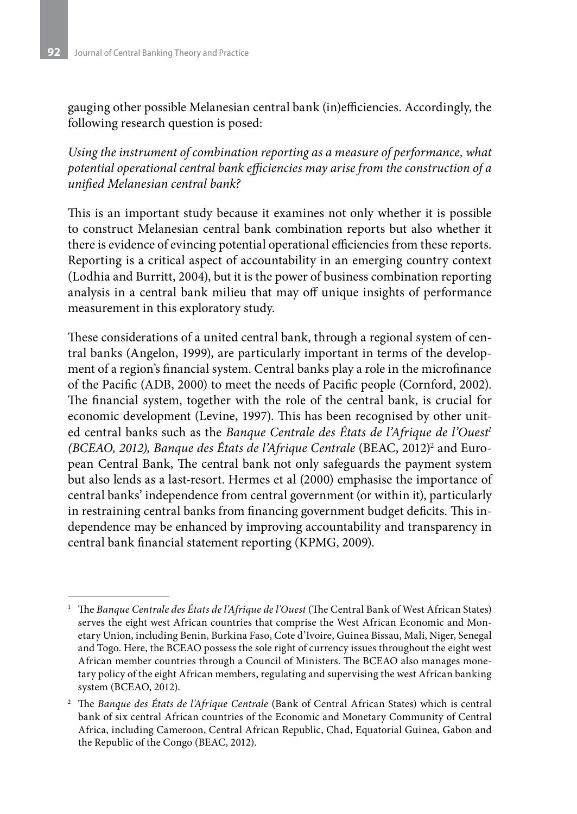gauging other possible Melanesian central bank (in)efficiencies. Accordingly, the following research question is posed:

*Using the instrument of combination reporting as a measure of performance, what potential operational central bank efficiencies may arise from the construction of a unified Melanesian central bank?*

This is an important study because it examines not only whether it is possible to construct Melanesian central bank combination reports but also whether it there is evidence of evincing potential operational efficiencies from these reports. Reporting is a critical aspect of accountability in an emerging country context (Lodhia and Burritt, 2004), but it is the power of business combination reporting analysis in a central bank milieu that may off unique insights of performance measurement in this exploratory study.

These considerations of a united central bank, through a regional system of central banks (Angelon, 1999), are particularly important in terms of the development of a region's financial system. Central banks play a role in the microfinance of the Pacific (ADB, 2000) to meet the needs of Pacific people (Cornford, 2002). The financial system, together with the role of the central bank, is crucial for economic development (Levine, 1997). This has been recognised by other united central banks such as the *Banque Centrale des États de l'Afrique de l'Ouest<sup>1</sup>* (BCEAO, 2012), Banque des États de l'Afrique Centrale (BEAC, 2012)<sup>2</sup> and European Central Bank, The central bank not only safeguards the payment system but also lends as a last-resort. Hermes et al (2000) emphasise the importance of central banks' independence from central government (or within it), particularly in restraining central banks from financing government budget deficits. This independence may be enhanced by improving accountability and transparency in central bank financial statement reporting (KPMG, 2009).

<sup>1</sup> The *Banque Centrale des États de l'Afrique de l'Ouest* (The Central Bank of West African States) serves the eight west African countries that comprise the West African Economic and Monetary Union, including Benin, Burkina Faso, Cote d'Ivoire, Guinea Bissau, Mali, Niger, Senegal and Togo. Here, the BCEAO possess the sole right of currency issues throughout the eight west African member countries through a Council of Ministers. The BCEAO also manages monetary policy of the eight African members, regulating and supervising the west African banking system (BCEAO, 2012).

<sup>&</sup>lt;sup>2</sup> The *Banque des États de l'Afrique Centrale* (Bank of Central African States) which is central bank of six central African countries of the Economic and Monetary Community of Central Africa, including Cameroon, Central African Republic, Chad, Equatorial Guinea, Gabon and the Republic of the Congo (BEAC, 2012).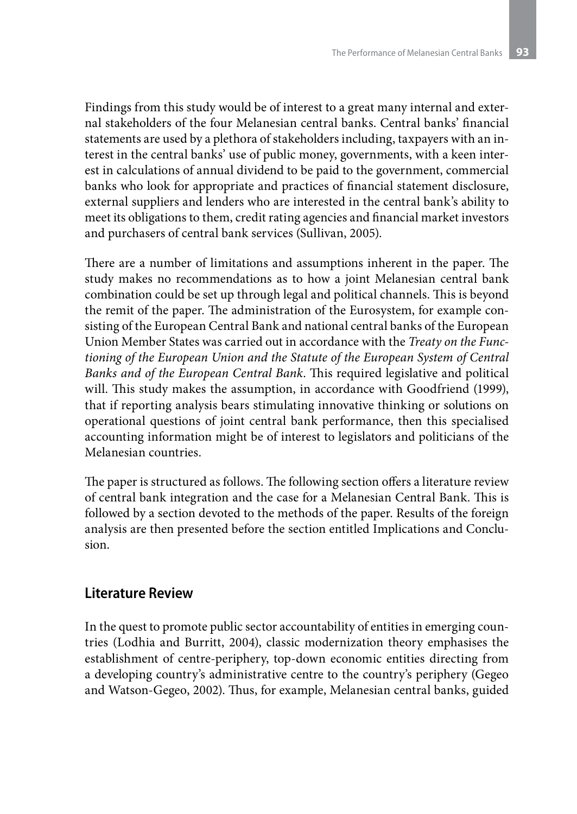Findings from this study would be of interest to a great many internal and external stakeholders of the four Melanesian central banks. Central banks' financial statements are used by a plethora of stakeholders including, taxpayers with an interest in the central banks' use of public money, governments, with a keen interest in calculations of annual dividend to be paid to the government, commercial banks who look for appropriate and practices of financial statement disclosure, external suppliers and lenders who are interested in the central bank's ability to meet its obligations to them, credit rating agencies and financial market investors and purchasers of central bank services (Sullivan, 2005).

There are a number of limitations and assumptions inherent in the paper. The study makes no recommendations as to how a joint Melanesian central bank combination could be set up through legal and political channels. This is beyond the remit of the paper. The administration of the Eurosystem, for example consisting of the European Central Bank and national central banks of the European Union Member States was carried out in accordance with the *Treaty on the Functioning of the European Union and the Statute of the European System of Central Banks and of the European Central Bank*. This required legislative and political will. This study makes the assumption, in accordance with Goodfriend (1999), that if reporting analysis bears stimulating innovative thinking or solutions on operational questions of joint central bank performance, then this specialised accounting information might be of interest to legislators and politicians of the Melanesian countries.

The paper is structured as follows. The following section offers a literature review of central bank integration and the case for a Melanesian Central Bank. This is followed by a section devoted to the methods of the paper. Results of the foreign analysis are then presented before the section entitled Implications and Conclusion.

#### **Literature Review**

In the quest to promote public sector accountability of entities in emerging countries (Lodhia and Burritt, 2004), classic modernization theory emphasises the establishment of centre-periphery, top-down economic entities directing from a developing country's administrative centre to the country's periphery (Gegeo and Watson-Gegeo, 2002). Thus, for example, Melanesian central banks, guided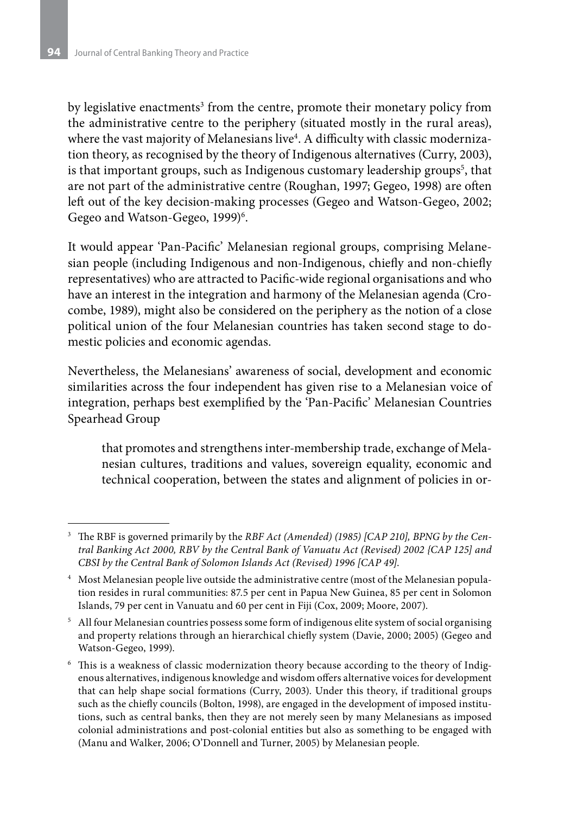by legislative enactments<sup>3</sup> from the centre, promote their monetary policy from the administrative centre to the periphery (situated mostly in the rural areas), where the vast majority of Melanesians live<sup>4</sup>. A difficulty with classic modernization theory, as recognised by the theory of Indigenous alternatives (Curry, 2003), is that important groups, such as Indigenous customary leadership groups $^{\rm 5}$ , that are not part of the administrative centre (Roughan, 1997; Gegeo, 1998) are often left out of the key decision-making processes (Gegeo and Watson-Gegeo, 2002; Gegeo and Watson-Gegeo, 1999)<sup>6</sup>.

It would appear 'Pan-Pacific' Melanesian regional groups, comprising Melanesian people (including Indigenous and non-Indigenous, chiefly and non-chiefly representatives) who are attracted to Pacific-wide regional organisations and who have an interest in the integration and harmony of the Melanesian agenda (Crocombe, 1989), might also be considered on the periphery as the notion of a close political union of the four Melanesian countries has taken second stage to domestic policies and economic agendas.

Nevertheless, the Melanesians' awareness of social, development and economic similarities across the four independent has given rise to a Melanesian voice of integration, perhaps best exemplified by the 'Pan-Pacific' Melanesian Countries Spearhead Group

that promotes and strengthens inter-membership trade, exchange of Melanesian cultures, traditions and values, sovereign equality, economic and technical cooperation, between the states and alignment of policies in or-

<sup>3</sup> The RBF is governed primarily by the *RBF Act (Amended) (1985) [CAP 210], BPNG by the Central Banking Act 2000, RBV by the Central Bank of Vanuatu Act (Revised) 2002 {CAP 125] and CBSI by the Central Bank of Solomon Islands Act (Revised) 1996 [CAP 49]*.

<sup>4</sup> Most Melanesian people live outside the administrative centre (most of the Melanesian population resides in rural communities: 87.5 per cent in Papua New Guinea, 85 per cent in Solomon Islands, 79 per cent in Vanuatu and 60 per cent in Fiji (Cox, 2009; Moore, 2007).

<sup>&</sup>lt;sup>5</sup> All four Melanesian countries possess some form of indigenous elite system of social organising and property relations through an hierarchical chiefly system (Davie, 2000; 2005) (Gegeo and Watson-Gegeo, 1999).

<sup>6</sup> This is a weakness of classic modernization theory because according to the theory of Indigenous alternatives, indigenous knowledge and wisdom offers alternative voices for development that can help shape social formations (Curry, 2003). Under this theory, if traditional groups such as the chiefly councils (Bolton, 1998), are engaged in the development of imposed institutions, such as central banks, then they are not merely seen by many Melanesians as imposed colonial administrations and post-colonial entities but also as something to be engaged with (Manu and Walker, 2006; O'Donnell and Turner, 2005) by Melanesian people.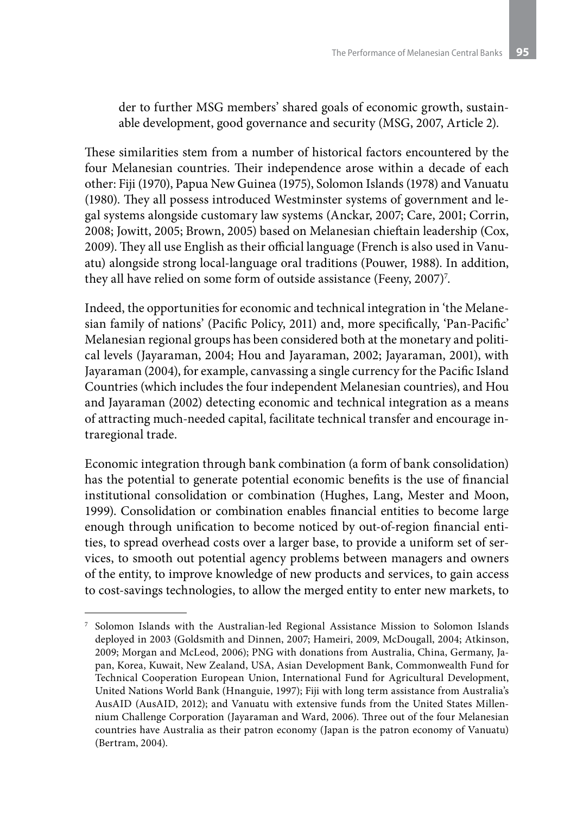der to further MSG members' shared goals of economic growth, sustainable development, good governance and security (MSG, 2007, Article 2).

These similarities stem from a number of historical factors encountered by the four Melanesian countries. Their independence arose within a decade of each other: Fiji (1970), Papua New Guinea (1975), Solomon Islands (1978) and Vanuatu (1980). They all possess introduced Westminster systems of government and legal systems alongside customary law systems (Anckar, 2007; Care, 2001; Corrin, 2008; Jowitt, 2005; Brown, 2005) based on Melanesian chieftain leadership (Cox, 2009). They all use English as their official language (French is also used in Vanuatu) alongside strong local-language oral traditions (Pouwer, 1988). In addition, they all have relied on some form of outside assistance (Feeny, 2007)<sup>7</sup>.

Indeed, the opportunities for economic and technical integration in 'the Melanesian family of nations' (Pacific Policy, 2011) and, more specifically, 'Pan-Pacific' Melanesian regional groups has been considered both at the monetary and political levels (Jayaraman, 2004; Hou and Jayaraman, 2002; Jayaraman, 2001), with Jayaraman (2004), for example, canvassing a single currency for the Pacific Island Countries (which includes the four independent Melanesian countries), and Hou and Jayaraman (2002) detecting economic and technical integration as a means of attracting much-needed capital, facilitate technical transfer and encourage intraregional trade.

Economic integration through bank combination (a form of bank consolidation) has the potential to generate potential economic benefits is the use of financial institutional consolidation or combination (Hughes, Lang, Mester and Moon, 1999). Consolidation or combination enables financial entities to become large enough through unification to become noticed by out-of-region financial entities, to spread overhead costs over a larger base, to provide a uniform set of services, to smooth out potential agency problems between managers and owners of the entity, to improve knowledge of new products and services, to gain access to cost-savings technologies, to allow the merged entity to enter new markets, to

<sup>7</sup> Solomon Islands with the Australian-led Regional Assistance Mission to Solomon Islands deployed in 2003 (Goldsmith and Dinnen, 2007; Hameiri, 2009, McDougall, 2004; Atkinson, 2009; Morgan and McLeod, 2006); PNG with donations from Australia, China, Germany, Japan, Korea, Kuwait, New Zealand, USA, Asian Development Bank, Commonwealth Fund for Technical Cooperation European Union, International Fund for Agricultural Development, United Nations World Bank (Hnanguie, 1997); Fiji with long term assistance from Australia's AusAID (AusAID, 2012); and Vanuatu with extensive funds from the United States Millennium Challenge Corporation (Jayaraman and Ward, 2006). Three out of the four Melanesian countries have Australia as their patron economy (Japan is the patron economy of Vanuatu) (Bertram, 2004).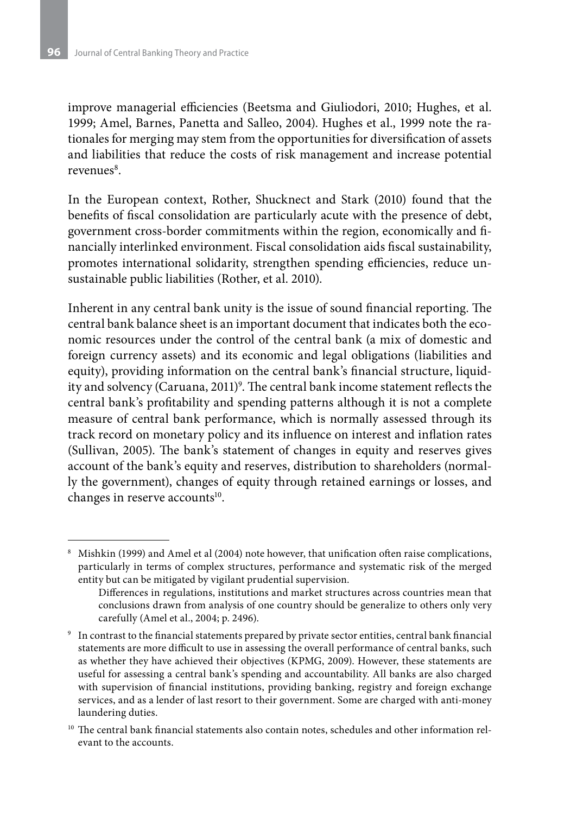improve managerial efficiencies (Beetsma and Giuliodori, 2010; Hughes, et al. 1999; Amel, Barnes, Panetta and Salleo, 2004). Hughes et al., 1999 note the rationales for merging may stem from the opportunities for diversification of assets and liabilities that reduce the costs of risk management and increase potential revenues<sup>8</sup>.

In the European context, Rother, Shucknect and Stark (2010) found that the benefits of fiscal consolidation are particularly acute with the presence of debt, government cross-border commitments within the region, economically and financially interlinked environment. Fiscal consolidation aids fiscal sustainability, promotes international solidarity, strengthen spending efficiencies, reduce unsustainable public liabilities (Rother, et al. 2010).

Inherent in any central bank unity is the issue of sound financial reporting. The central bank balance sheet is an important document that indicates both the economic resources under the control of the central bank (a mix of domestic and foreign currency assets) and its economic and legal obligations (liabilities and equity), providing information on the central bank's financial structure, liquidity and solvency (Caruana, 2011)<sup>9</sup>. The central bank income statement reflects the central bank's profitability and spending patterns although it is not a complete measure of central bank performance, which is normally assessed through its track record on monetary policy and its influence on interest and inflation rates (Sullivan, 2005). The bank's statement of changes in equity and reserves gives account of the bank's equity and reserves, distribution to shareholders (normally the government), changes of equity through retained earnings or losses, and changes in reserve accounts<sup>10</sup>.

<sup>8</sup> Mishkin (1999) and Amel et al (2004) note however, that unification often raise complications, particularly in terms of complex structures, performance and systematic risk of the merged entity but can be mitigated by vigilant prudential supervision.

Differences in regulations, institutions and market structures across countries mean that conclusions drawn from analysis of one country should be generalize to others only very carefully (Amel et al., 2004; p. 2496).

<sup>9</sup> In contrast to the financial statements prepared by private sector entities, central bank financial statements are more difficult to use in assessing the overall performance of central banks, such as whether they have achieved their objectives (KPMG, 2009). However, these statements are useful for assessing a central bank's spending and accountability. All banks are also charged with supervision of financial institutions, providing banking, registry and foreign exchange services, and as a lender of last resort to their government. Some are charged with anti-money laundering duties.

 $10$  The central bank financial statements also contain notes, schedules and other information relevant to the accounts.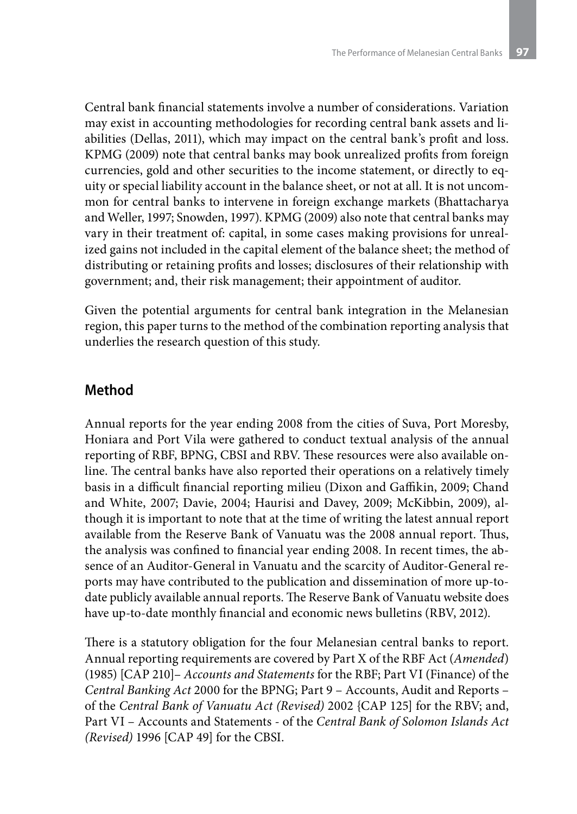Central bank financial statements involve a number of considerations. Variation may exist in accounting methodologies for recording central bank assets and liabilities (Dellas, 2011), which may impact on the central bank's profit and loss. KPMG (2009) note that central banks may book unrealized profits from foreign currencies, gold and other securities to the income statement, or directly to equity or special liability account in the balance sheet, or not at all. It is not uncommon for central banks to intervene in foreign exchange markets (Bhattacharya and Weller, 1997; Snowden, 1997). KPMG (2009) also note that central banks may vary in their treatment of: capital, in some cases making provisions for unrealized gains not included in the capital element of the balance sheet; the method of distributing or retaining profits and losses; disclosures of their relationship with government; and, their risk management; their appointment of auditor.

Given the potential arguments for central bank integration in the Melanesian region, this paper turns to the method of the combination reporting analysis that underlies the research question of this study.

## **Method**

Annual reports for the year ending 2008 from the cities of Suva, Port Moresby, Honiara and Port Vila were gathered to conduct textual analysis of the annual reporting of RBF, BPNG, CBSI and RBV. These resources were also available online. The central banks have also reported their operations on a relatively timely basis in a difficult financial reporting milieu (Dixon and Gaffikin, 2009; Chand and White, 2007; Davie, 2004; Haurisi and Davey, 2009; McKibbin, 2009), although it is important to note that at the time of writing the latest annual report available from the Reserve Bank of Vanuatu was the 2008 annual report. Thus, the analysis was confined to financial year ending 2008. In recent times, the absence of an Auditor-General in Vanuatu and the scarcity of Auditor-General reports may have contributed to the publication and dissemination of more up-todate publicly available annual reports. The Reserve Bank of Vanuatu website does have up-to-date monthly financial and economic news bulletins (RBV, 2012).

There is a statutory obligation for the four Melanesian central banks to report. Annual reporting requirements are covered by Part X of the RBF Act (*Amended*) (1985) [CAP 210]– *Accounts and Statements* for the RBF; Part VI (Finance) of the *Central Banking Act* 2000 for the BPNG; Part 9 – Accounts, Audit and Reports – of the *Central Bank of Vanuatu Act (Revised)* 2002 {CAP 125] for the RBV; and, Part VI – Accounts and Statements - of the *Central Bank of Solomon Islands Act (Revised)* 1996 [CAP 49] for the CBSI.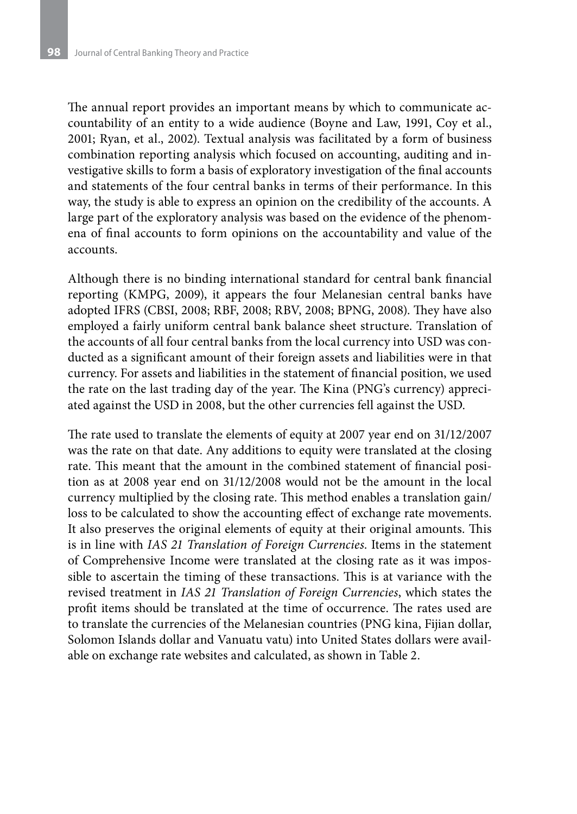The annual report provides an important means by which to communicate accountability of an entity to a wide audience (Boyne and Law, 1991, Coy et al., 2001; Ryan, et al., 2002). Textual analysis was facilitated by a form of business combination reporting analysis which focused on accounting, auditing and investigative skills to form a basis of exploratory investigation of the final accounts and statements of the four central banks in terms of their performance. In this way, the study is able to express an opinion on the credibility of the accounts. A large part of the exploratory analysis was based on the evidence of the phenomena of final accounts to form opinions on the accountability and value of the accounts.

Although there is no binding international standard for central bank financial reporting (KMPG, 2009), it appears the four Melanesian central banks have adopted IFRS (CBSI, 2008; RBF, 2008; RBV, 2008; BPNG, 2008). They have also employed a fairly uniform central bank balance sheet structure. Translation of the accounts of all four central banks from the local currency into USD was conducted as a significant amount of their foreign assets and liabilities were in that currency. For assets and liabilities in the statement of financial position, we used the rate on the last trading day of the year. The Kina (PNG's currency) appreciated against the USD in 2008, but the other currencies fell against the USD.

The rate used to translate the elements of equity at 2007 year end on 31/12/2007 was the rate on that date. Any additions to equity were translated at the closing rate. This meant that the amount in the combined statement of financial position as at 2008 year end on 31/12/2008 would not be the amount in the local currency multiplied by the closing rate. This method enables a translation gain/ loss to be calculated to show the accounting effect of exchange rate movements. It also preserves the original elements of equity at their original amounts. This is in line with *IAS 21 Translation of Foreign Currencies*. Items in the statement of Comprehensive Income were translated at the closing rate as it was impossible to ascertain the timing of these transactions. This is at variance with the revised treatment in *IAS 21 Translation of Foreign Currencies*, which states the profit items should be translated at the time of occurrence. The rates used are to translate the currencies of the Melanesian countries (PNG kina, Fijian dollar, Solomon Islands dollar and Vanuatu vatu) into United States dollars were available on exchange rate websites and calculated, as shown in Table 2.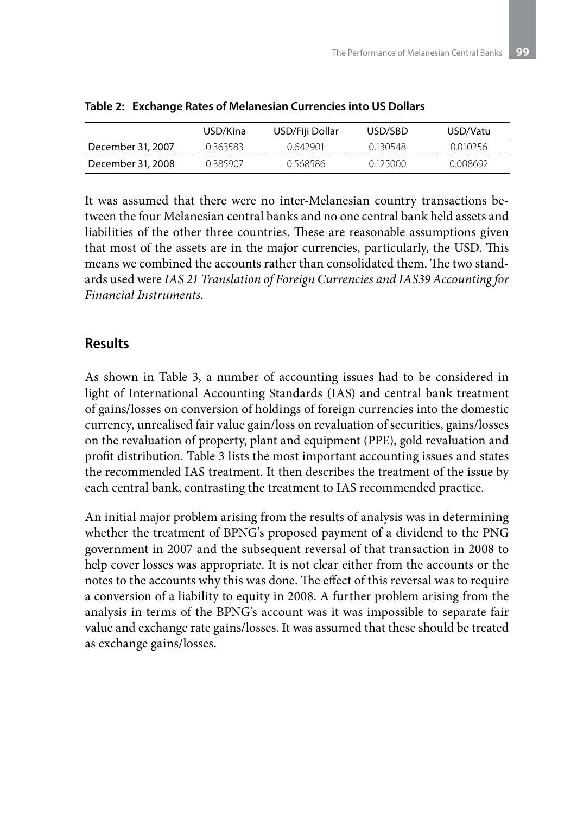|                   | USD/Kina | USD/Fiji Dollar | USD/SBD  | USD/Vatu |
|-------------------|----------|-----------------|----------|----------|
| December 31, 2007 | 0 363583 | 0.642901        | 0.130548 | 0.010256 |
| December 31, 2008 | በ 385907 | 0 568586        | 0125000  | Ი ᲘᲘጸᲠ92 |

|  |  | Table 2: Exchange Rates of Melanesian Currencies into US Dollars |  |  |  |
|--|--|------------------------------------------------------------------|--|--|--|
|--|--|------------------------------------------------------------------|--|--|--|

It was assumed that there were no inter-Melanesian country transactions between the four Melanesian central banks and no one central bank held assets and liabilities of the other three countries. These are reasonable assumptions given that most of the assets are in the major currencies, particularly, the USD. This means we combined the accounts rather than consolidated them. The two standards used were *IAS 21 Translation of Foreign Currencies and IAS39 Accounting for Financial Instruments*.

## **Results**

As shown in Table 3, a number of accounting issues had to be considered in light of International Accounting Standards (IAS) and central bank treatment of gains/losses on conversion of holdings of foreign currencies into the domestic currency, unrealised fair value gain/loss on revaluation of securities, gains/losses on the revaluation of property, plant and equipment (PPE), gold revaluation and profit distribution. Table 3 lists the most important accounting issues and states the recommended IAS treatment. It then describes the treatment of the issue by each central bank, contrasting the treatment to IAS recommended practice.

An initial major problem arising from the results of analysis was in determining whether the treatment of BPNG's proposed payment of a dividend to the PNG government in 2007 and the subsequent reversal of that transaction in 2008 to help cover losses was appropriate. It is not clear either from the accounts or the notes to the accounts why this was done. The effect of this reversal was to require a conversion of a liability to equity in 2008. A further problem arising from the analysis in terms of the BPNG's account was it was impossible to separate fair value and exchange rate gains/losses. It was assumed that these should be treated as exchange gains/losses.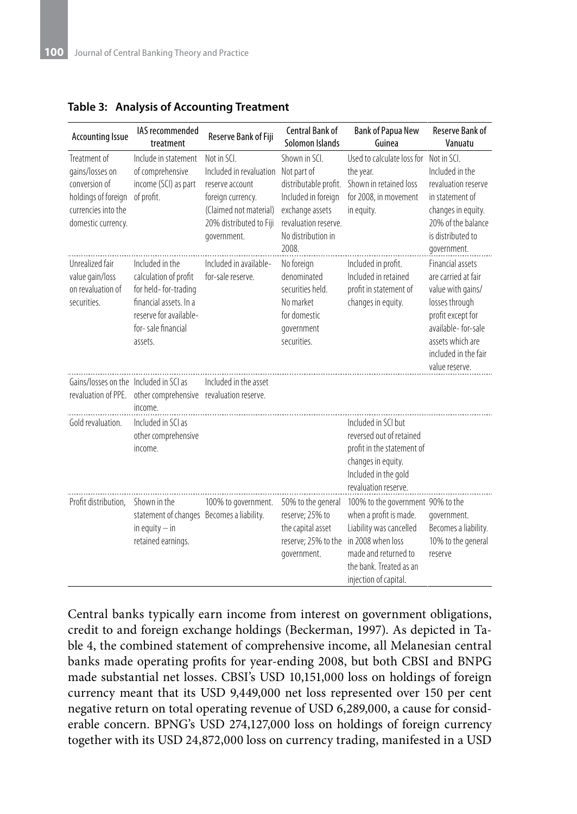| <b>Accounting Issue</b>                                                                                              | IAS recommended<br>treatment                                                                                                                          | Reserve Bank of Fiji                                                                                                                               | <b>Central Bank of</b><br>Solomon Islands                                                                                                             | <b>Bank of Papua New</b><br>Guinea                                                                                                                                 | <b>Reserve Bank of</b><br>Vanuatu                                                                                                                                                              |
|----------------------------------------------------------------------------------------------------------------------|-------------------------------------------------------------------------------------------------------------------------------------------------------|----------------------------------------------------------------------------------------------------------------------------------------------------|-------------------------------------------------------------------------------------------------------------------------------------------------------|--------------------------------------------------------------------------------------------------------------------------------------------------------------------|------------------------------------------------------------------------------------------------------------------------------------------------------------------------------------------------|
| Treatment of<br>gains/losses on<br>conversion of<br>holdings of foreign<br>currencies into the<br>domestic currency. | Include in statement<br>of comprehensive<br>income (SCI) as part<br>of profit.                                                                        | Not in SCI.<br>Included in revaluation<br>reserve account<br>foreign currency.<br>(Claimed not material)<br>20% distributed to Fiji<br>government. | Shown in SCL<br>Not part of<br>distributable profit.<br>Included in foreign<br>exchange assets<br>revaluation reserve.<br>No distribution in<br>2008. | Used to calculate loss for<br>the year.<br>Shown in retained loss<br>for 2008, in movement<br>in equity.                                                           | Not in SCI.<br>Included in the<br>revaluation reserve<br>in statement of<br>changes in equity.<br>20% of the balance<br>is distributed to<br>government.                                       |
| Unrealized fair<br>value gain/loss<br>on revaluation of<br>securities.                                               | Included in the<br>calculation of profit<br>for held-for-trading<br>financial assets. In a<br>reserve for available-<br>for-sale financial<br>assets. | Included in available-<br>for-sale reserve.                                                                                                        | No foreign<br>denominated<br>securities held.<br>No market<br>for domestic<br>government<br>securities.                                               | Included in profit.<br>Included in retained<br>profit in statement of<br>changes in equity.                                                                        | <b>Financial assets</b><br>are carried at fair<br>value with gains/<br>losses through<br>profit except for<br>available-for-sale<br>assets which are<br>included in the fair<br>value reserve. |
| Gains/Josses on the Included in SCI as                                                                               | revaluation of PPE. other comprehensive revaluation reserve.<br>income.                                                                               | Included in the asset                                                                                                                              |                                                                                                                                                       |                                                                                                                                                                    |                                                                                                                                                                                                |
| Gold revaluation.                                                                                                    | Included in SCI as<br>other comprehensive<br>income.                                                                                                  |                                                                                                                                                    |                                                                                                                                                       | Included in SCI but<br>reversed out of retained<br>profit in the statement of<br>changes in equity.<br>Included in the gold<br>revaluation reserve.                |                                                                                                                                                                                                |
| Profit distribution,                                                                                                 | Shown in the<br>statement of changes Becomes a liability.<br>in equity $-$ in<br>retained earnings.                                                   | 100% to government.                                                                                                                                | 50% to the general<br>reserve: 25% to<br>the capital asset<br>reserve; 25% to the in 2008 when loss<br>government.                                    | 100% to the government 90% to the<br>when a profit is made.<br>Liability was cancelled<br>made and returned to<br>the bank. Treated as an<br>injection of capital. | government.<br>Becomes a liability.<br>10% to the general<br>reserve                                                                                                                           |

**Table 3: Analysis of Accounting Treatment**

Central banks typically earn income from interest on government obligations, credit to and foreign exchange holdings (Beckerman, 1997). As depicted in Table 4, the combined statement of comprehensive income, all Melanesian central banks made operating profits for year-ending 2008, but both CBSI and BNPG made substantial net losses. CBSI's USD 10,151,000 loss on holdings of foreign currency meant that its USD 9,449,000 net loss represented over 150 per cent negative return on total operating revenue of USD 6,289,000, a cause for considerable concern. BPNG's USD 274,127,000 loss on holdings of foreign currency together with its USD 24,872,000 loss on currency trading, manifested in a USD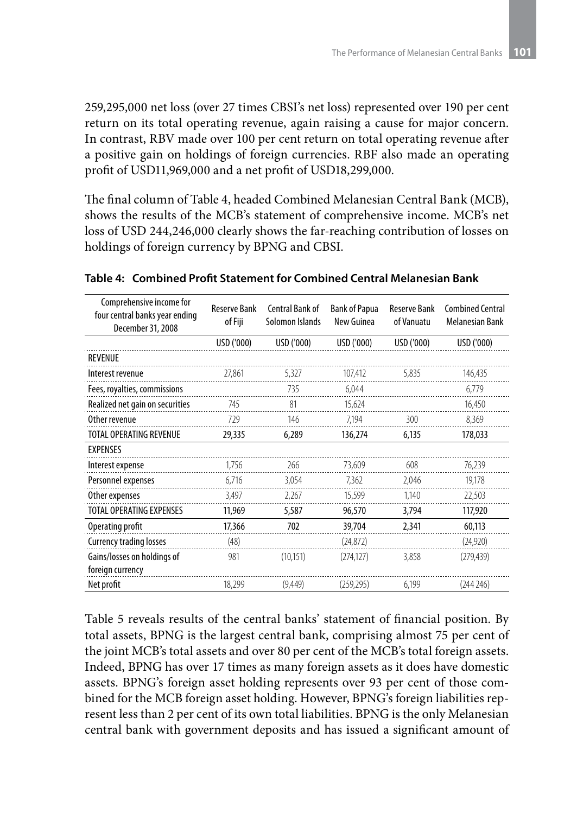259,295,000 net loss (over 27 times CBSI's net loss) represented over 190 per cent return on its total operating revenue, again raising a cause for major concern. In contrast, RBV made over 100 per cent return on total operating revenue after a positive gain on holdings of foreign currencies. RBF also made an operating profit of USD11,969,000 and a net profit of USD18,299,000.

The final column of Table 4, headed Combined Melanesian Central Bank (MCB), shows the results of the MCB's statement of comprehensive income. MCB's net loss of USD 244,246,000 clearly shows the far-reaching contribution of losses on holdings of foreign currency by BPNG and CBSI.

| Comprehensive income for<br>four central banks year ending<br>December 31, 2008 | <b>Reserve Bank</b><br>of Fiji | <b>Central Bank of</b><br>Solomon Islands | <b>Bank of Papua</b><br>New Guinea | <b>Reserve Bank</b><br>of Vanuatu | <b>Combined Central</b><br><b>Melanesian Bank</b> |
|---------------------------------------------------------------------------------|--------------------------------|-------------------------------------------|------------------------------------|-----------------------------------|---------------------------------------------------|
|                                                                                 | USD ('000)                     | USD ('000)                                | USD ('000)                         | USD ('000)                        | USD ('000)                                        |
| REVENUE                                                                         |                                |                                           |                                    |                                   |                                                   |
| Interest revenue                                                                | 27,861                         | 5,327                                     | 107,412                            | 5.835                             | 146,435                                           |
| Fees, royalties, commissions                                                    |                                | 735                                       | 6.044                              |                                   | 6,779                                             |
| Realized net gain on securities                                                 | 745                            | 81                                        | 15,624                             |                                   | 16,450                                            |
| Other revenue                                                                   | 729                            | 146                                       | 7.194                              | 300                               | 8,369                                             |
| <b>TOTAL OPERATING REVENUE</b>                                                  | 29,335                         | 6,289                                     | 136,274                            | 6,135                             | 178,033                                           |
| <b>EXPENSES</b>                                                                 |                                |                                           |                                    |                                   |                                                   |
| Interest expense                                                                | 1,756                          | 266                                       | 73,609                             | 608                               | 76,239                                            |
| Personnel expenses                                                              | 6,716                          | 3,054                                     | 7,362                              | 2,046                             | 19,178                                            |
| Other expenses                                                                  | 3,497                          | 2,267                                     | 15,599                             | 1,140                             | 22,503                                            |
| TOTAL OPERATING EXPENSES                                                        | 11,969                         | 5,587                                     | 96,570                             | 3,794                             | 117,920                                           |
| Operating profit                                                                | 17,366                         | 702                                       | 39,704                             | 2.341                             | 60,113                                            |
| <b>Currency trading losses</b>                                                  | (48)                           |                                           | (24, 872)                          |                                   | (24,920)                                          |
| Gains/losses on holdings of<br>foreign currency                                 | 981                            | (10, 151)                                 | (274, 127)                         | 3.858                             | (279, 439)                                        |
| Net profit                                                                      | 18.299                         | (9.449)                                   | (259.295)                          | 6.199                             | (244246)                                          |

#### **Table 4: Combined Profit Statement for Combined Central Melanesian Bank**

Table 5 reveals results of the central banks' statement of financial position. By total assets, BPNG is the largest central bank, comprising almost 75 per cent of the joint MCB's total assets and over 80 per cent of the MCB's total foreign assets. Indeed, BPNG has over 17 times as many foreign assets as it does have domestic assets. BPNG's foreign asset holding represents over 93 per cent of those combined for the MCB foreign asset holding. However, BPNG's foreign liabilities represent less than 2 per cent of its own total liabilities. BPNG is the only Melanesian central bank with government deposits and has issued a significant amount of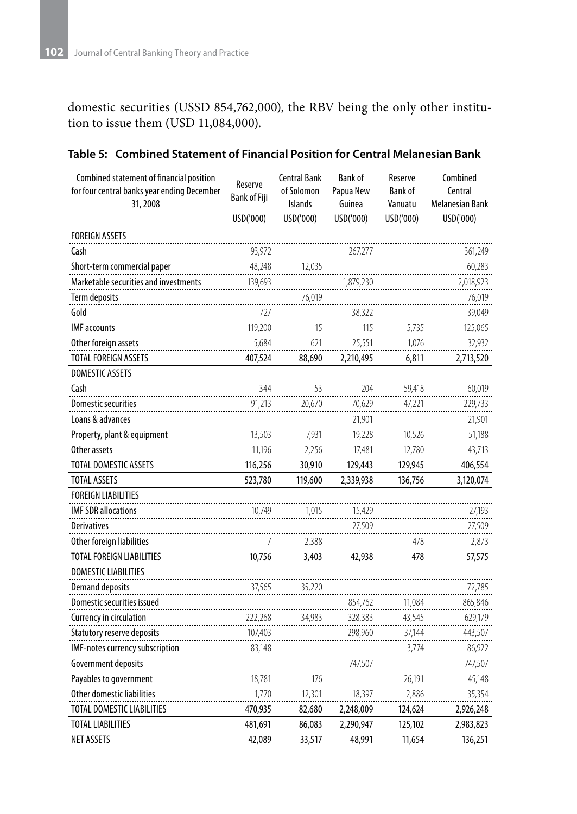domestic securities (USSD 854,762,000), the RBV being the only other institution to issue them (USD 11,084,000).

| Combined statement of financial position<br>for four central banks year ending December | <b>Central Bank</b><br>Reserve<br>of Solomon |                | <b>Bank of</b><br>Papua New | Reserve<br><b>Bank of</b> | Combined<br>Central |
|-----------------------------------------------------------------------------------------|----------------------------------------------|----------------|-----------------------------|---------------------------|---------------------|
| 31,2008                                                                                 | <b>Bank of Fiji</b>                          | <b>Islands</b> | Guinea                      | Vanuatu                   | Melanesian Bank     |
|                                                                                         | USD('000)                                    | USD('000)      | USD('000)                   | USD('000)                 | USD('000)           |
| <b>FOREIGN ASSETS</b>                                                                   |                                              |                |                             |                           |                     |
| Cash                                                                                    | 93.972                                       |                | 267.277                     |                           | 361,249             |
| Short-term commercial paper                                                             | 48.248                                       | 12.035         |                             |                           | 60,283              |
| Marketable securities and investments                                                   | 139,693                                      |                | 1,879,230                   |                           | 2,018,923           |
| Term deposits                                                                           |                                              | 76.019         |                             |                           | 76,019              |
| Gold                                                                                    | 727                                          |                | 38.322                      |                           | 39.049              |
| <b>IMF</b> accounts                                                                     | 119,200                                      | 15             | 115                         | 5,735                     | 125,065             |
| Other foreign assets                                                                    | 5,684                                        | 621            | 25.551                      | 1,076                     | 32,932              |
| TOTAL FOREIGN ASSETS                                                                    | 407,524                                      | 88,690         | 2,210,495                   | 6,811                     | 2,713,520           |
| <b>DOMESTIC ASSETS</b>                                                                  |                                              |                |                             |                           |                     |
| Cash                                                                                    | 344                                          | 53             | 204                         | 59,418                    | 60,019              |
| <b>Domestic securities</b>                                                              | 91,213                                       | 20,670         | 70,629                      | 47,221                    | 229,733             |
| Loans & advances                                                                        |                                              |                | 21,901                      |                           | 21,901              |
| Property, plant & equipment                                                             | 13,503                                       | 7.931          | 19,228                      | 10,526                    | 51,188              |
| Other assets                                                                            | 11,196                                       | 2,256          | 17,481                      | 12,780                    | 43,713              |
| TOTAL DOMESTIC ASSETS                                                                   | 116,256                                      | 30,910         | 129,443                     | 129,945                   | 406,554             |
| <b>TOTAL ASSETS</b>                                                                     | 523,780                                      | 119,600        | 2,339,938                   | 136,756                   | 3,120,074           |
| <b>FOREIGN LIABILITIES</b>                                                              |                                              |                |                             |                           |                     |
| <b>IMF SDR allocations</b>                                                              | 10,749                                       | 1,015          | 15,429                      |                           | 27,193              |
| <b>Derivatives</b>                                                                      |                                              |                | 27,509                      |                           | 27,509              |
| Other foreign liabilities                                                               | 7                                            | 2,388          |                             | 478                       | 2,873               |
| TOTAL FOREIGN LIABILITIES                                                               | 10,756                                       | 3,403          | 42,938                      | 478                       | 57,575              |
| <b>DOMESTIC LIABILITIES</b>                                                             |                                              |                |                             |                           |                     |
| <b>Demand deposits</b>                                                                  | 37,565                                       | 35,220         |                             |                           | 72,785              |
| Domestic securities issued                                                              |                                              |                | 854,762                     | 11,084                    | 865,846             |
| Currency in circulation                                                                 | 222,268                                      | 34,983         | 328,383                     | 43,545                    | 629,179             |
| Statutory reserve deposits                                                              | 107,403                                      |                | 298,960                     | 37,144                    | 443,507             |
| IMF-notes currency subscription                                                         | 83,148                                       |                |                             | 3,774                     | 86,922              |
| Government deposits                                                                     |                                              |                | 747,507                     |                           | 747,507             |
| Payables to government                                                                  | 18,781                                       | 176            |                             | 26,191                    | 45,148              |
| Other domestic liabilities                                                              | 1,770                                        | 12,301         | 18,397                      | 2,886                     | 35,354              |
| TOTAL DOMESTIC LIABILITIES                                                              | 470,935                                      | 82,680         | 2,248,009                   | 124,624                   | 2,926,248           |
| TOTAL LIABILITIES                                                                       | 481,691                                      | 86,083         | 2,290,947                   | 125,102                   | 2,983,823           |
| NET ASSETS                                                                              | 42,089                                       | 33,517         | 48,991                      | 11,654                    | 136,251             |

#### **Table 5: Combined Statement of Financial Position for Central Melanesian Bank**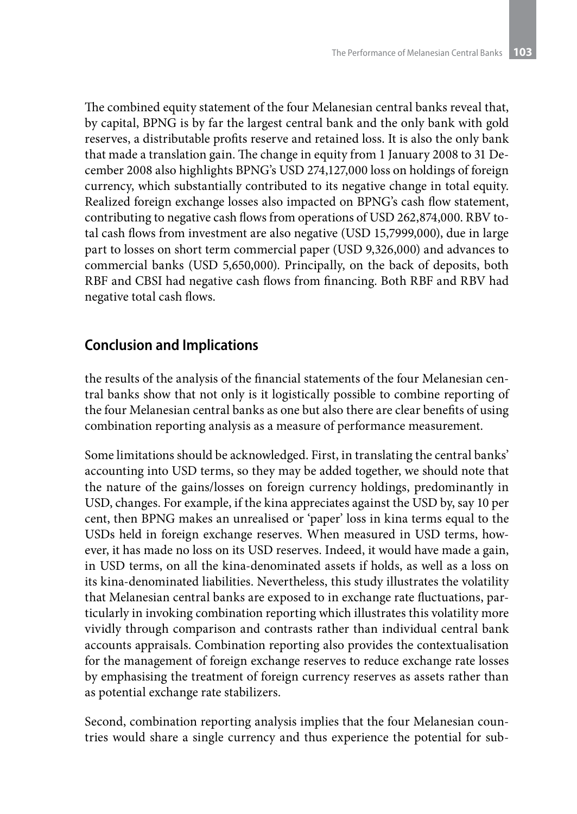The combined equity statement of the four Melanesian central banks reveal that, by capital, BPNG is by far the largest central bank and the only bank with gold reserves, a distributable profits reserve and retained loss. It is also the only bank that made a translation gain. The change in equity from 1 January 2008 to 31 December 2008 also highlights BPNG's USD 274,127,000 loss on holdings of foreign currency, which substantially contributed to its negative change in total equity. Realized foreign exchange losses also impacted on BPNG's cash flow statement, contributing to negative cash flows from operations of USD 262,874,000. RBV total cash flows from investment are also negative (USD 15,7999,000), due in large part to losses on short term commercial paper (USD 9,326,000) and advances to commercial banks (USD 5,650,000). Principally, on the back of deposits, both RBF and CBSI had negative cash flows from financing. Both RBF and RBV had negative total cash flows.

## **Conclusion and Implications**

the results of the analysis of the financial statements of the four Melanesian central banks show that not only is it logistically possible to combine reporting of the four Melanesian central banks as one but also there are clear benefits of using combination reporting analysis as a measure of performance measurement.

Some limitations should be acknowledged. First, in translating the central banks' accounting into USD terms, so they may be added together, we should note that the nature of the gains/losses on foreign currency holdings, predominantly in USD, changes. For example, if the kina appreciates against the USD by, say 10 per cent, then BPNG makes an unrealised or 'paper' loss in kina terms equal to the USDs held in foreign exchange reserves. When measured in USD terms, however, it has made no loss on its USD reserves. Indeed, it would have made a gain, in USD terms, on all the kina-denominated assets if holds, as well as a loss on its kina-denominated liabilities. Nevertheless, this study illustrates the volatility that Melanesian central banks are exposed to in exchange rate fluctuations, particularly in invoking combination reporting which illustrates this volatility more vividly through comparison and contrasts rather than individual central bank accounts appraisals. Combination reporting also provides the contextualisation for the management of foreign exchange reserves to reduce exchange rate losses by emphasising the treatment of foreign currency reserves as assets rather than as potential exchange rate stabilizers.

Second, combination reporting analysis implies that the four Melanesian countries would share a single currency and thus experience the potential for sub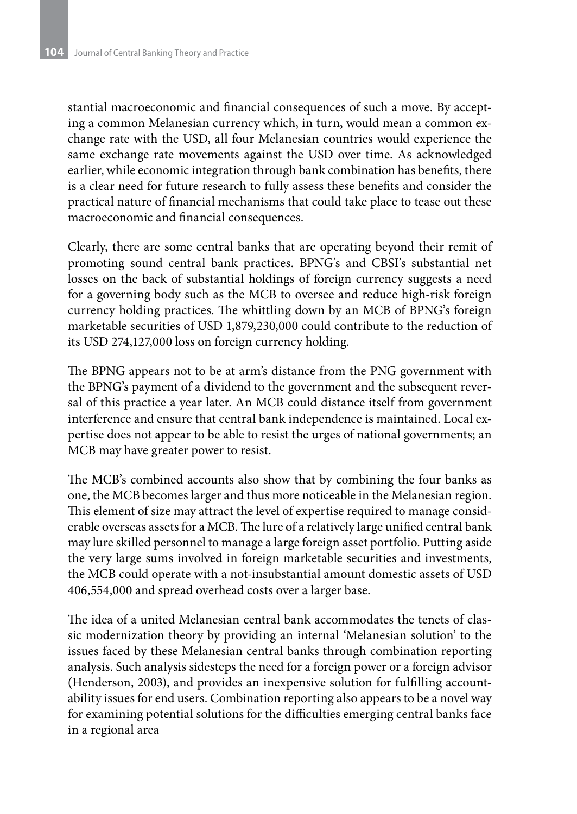stantial macroeconomic and financial consequences of such a move. By accepting a common Melanesian currency which, in turn, would mean a common exchange rate with the USD, all four Melanesian countries would experience the same exchange rate movements against the USD over time. As acknowledged earlier, while economic integration through bank combination has benefits, there is a clear need for future research to fully assess these benefits and consider the practical nature of financial mechanisms that could take place to tease out these macroeconomic and financial consequences.

Clearly, there are some central banks that are operating beyond their remit of promoting sound central bank practices. BPNG's and CBSI's substantial net losses on the back of substantial holdings of foreign currency suggests a need for a governing body such as the MCB to oversee and reduce high-risk foreign currency holding practices. The whittling down by an MCB of BPNG's foreign marketable securities of USD 1,879,230,000 could contribute to the reduction of its USD 274,127,000 loss on foreign currency holding.

The BPNG appears not to be at arm's distance from the PNG government with the BPNG's payment of a dividend to the government and the subsequent reversal of this practice a year later. An MCB could distance itself from government interference and ensure that central bank independence is maintained. Local expertise does not appear to be able to resist the urges of national governments; an MCB may have greater power to resist.

The MCB's combined accounts also show that by combining the four banks as one, the MCB becomes larger and thus more noticeable in the Melanesian region. This element of size may attract the level of expertise required to manage considerable overseas assets for a MCB. The lure of a relatively large unified central bank may lure skilled personnel to manage a large foreign asset portfolio. Putting aside the very large sums involved in foreign marketable securities and investments, the MCB could operate with a not-insubstantial amount domestic assets of USD 406,554,000 and spread overhead costs over a larger base.

The idea of a united Melanesian central bank accommodates the tenets of classic modernization theory by providing an internal 'Melanesian solution' to the issues faced by these Melanesian central banks through combination reporting analysis. Such analysis sidesteps the need for a foreign power or a foreign advisor (Henderson, 2003), and provides an inexpensive solution for fulfilling accountability issues for end users. Combination reporting also appears to be a novel way for examining potential solutions for the difficulties emerging central banks face in a regional area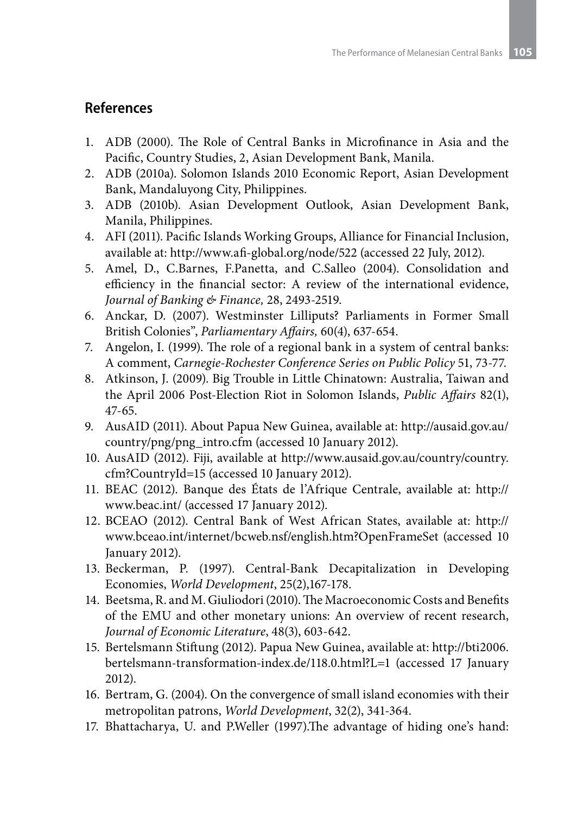### **References**

- 1. ADB (2000). The Role of Central Banks in Microfinance in Asia and the Pacific, Country Studies, 2, Asian Development Bank, Manila.
- 2. ADB (2010a). Solomon Islands 2010 Economic Report, Asian Development Bank, Mandaluyong City, Philippines.
- 3. ADB (2010b). Asian Development Outlook, Asian Development Bank, Manila, Philippines.
- 4. AFI (2011). Pacific Islands Working Groups, Alliance for Financial Inclusion, available at: http://www.afi-global.org/node/522 (accessed 22 July, 2012).
- 5. Amel, D., C.Barnes, F.Panetta, and C.Salleo (2004). Consolidation and efficiency in the financial sector: A review of the international evidence, *Journal of Banking & Finance,* 28, 2493-2519.
- 6. Anckar, D. (2007). Westminster Lilliputs? Parliaments in Former Small British Colonies", *Parliamentary Affairs,* 60(4), 637-654.
- 7. Angelon, I. (1999). The role of a regional bank in a system of central banks: A comment, *Carnegie-Rochester Conference Series on Public Policy* 51, 73-77.
- 8. Atkinson, J. (2009). Big Trouble in Little Chinatown: Australia, Taiwan and the April 2006 Post-Election Riot in Solomon Islands, *Public Affairs* 82(1), 47-65.
- 9. AusAID (2011). About Papua New Guinea, available at: http://ausaid.gov.au/ country/png/png\_intro.cfm (accessed 10 January 2012).
- 10. AusAID (2012). Fiji, available at http://www.ausaid.gov.au/country/country. cfm?CountryId=15 (accessed 10 January 2012).
- 11. BEAC (2012). Banque des États de l'Afrique Centrale, available at: http:// www.beac.int/ (accessed 17 January 2012).
- 12. BCEAO (2012). Central Bank of West African States, available at: http:// www.bceao.int/internet/bcweb.nsf/english.htm?OpenFrameSet (accessed 10 January 2012).
- 13. Beckerman, P. (1997). Central-Bank Decapitalization in Developing Economies, *World Development*, 25(2),167-178.
- 14. Beetsma, R. and M. Giuliodori (2010). The Macroeconomic Costs and Benefits of the EMU and other monetary unions: An overview of recent research, *Journal of Economic Literature*, 48(3), 603-642.
- 15. Bertelsmann Stiftung (2012). Papua New Guinea, available at: http://bti2006. bertelsmann-transformation-index.de/118.0.html?L=1 (accessed 17 January 2012).
- 16. Bertram, G. (2004). On the convergence of small island economies with their metropolitan patrons, *World Development*, 32(2), 341-364.
- 17. Bhattacharya, U. and P.Weller (1997).The advantage of hiding one's hand: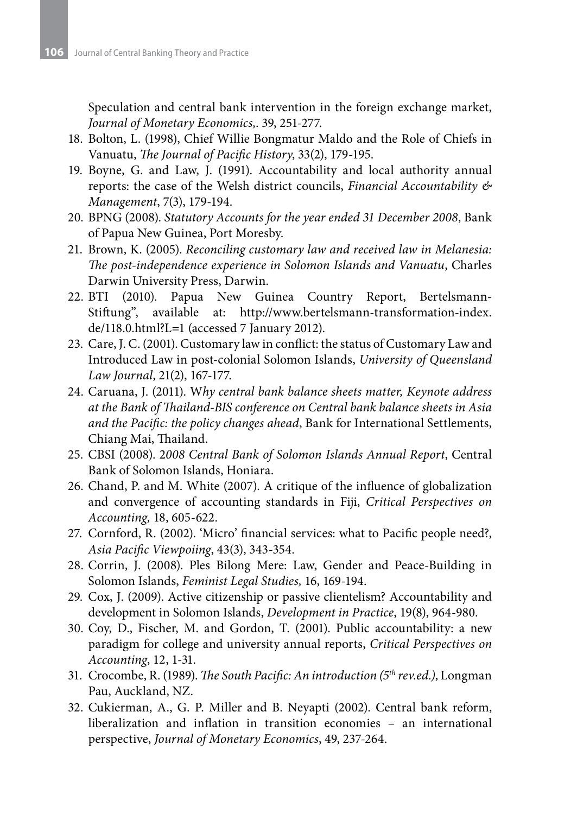Speculation and central bank intervention in the foreign exchange market, *Journal of Monetary Economics,*. 39, 251-277.

- 18. Bolton, L. (1998), Chief Willie Bongmatur Maldo and the Role of Chiefs in Vanuatu, *The Journal of Pacific History*, 33(2), 179-195.
- 19. Boyne, G. and Law, J. (1991). Accountability and local authority annual reports: the case of the Welsh district councils, *Financial Accountability & Management*, 7(3), 179-194.
- 20. BPNG (2008). *Statutory Accounts for the year ended 31 December 2008*, Bank of Papua New Guinea, Port Moresby.
- 21. Brown, K. (2005). *Reconciling customary law and received law in Melanesia: The post-independence experience in Solomon Islands and Vanuatu*, Charles Darwin University Press, Darwin.
- 22. BTI (2010). Papua New Guinea Country Report, Bertelsmann-Stiftung", available at: http://www.bertelsmann-transformation-index. de/118.0.html?L=1 (accessed 7 January 2012).
- 23. Care, J. C. (2001). Customary law in conflict: the status of Customary Law and Introduced Law in post-colonial Solomon Islands, *University of Queensland Law Journal*, 21(2), 167-177.
- 24. Caruana, J. (2011). W*hy central bank balance sheets matter, Keynote address at the Bank of Thailand-BIS conference on Central bank balance sheets in Asia and the Pacific: the policy changes ahead*, Bank for International Settlements, Chiang Mai, Thailand.
- 25. CBSI (2008). 2*008 Central Bank of Solomon Islands Annual Report*, Central Bank of Solomon Islands, Honiara.
- 26. Chand, P. and M. White (2007). A critique of the influence of globalization and convergence of accounting standards in Fiji, *Critical Perspectives on Accounting,* 18, 605-622.
- 27. Cornford, R. (2002). 'Micro' financial services: what to Pacific people need?, *Asia Pacific Viewpoiing*, 43(3), 343-354.
- 28. Corrin, J. (2008). Ples Bilong Mere: Law, Gender and Peace-Building in Solomon Islands, *Feminist Legal Studies,* 16, 169-194.
- 29. Cox, J. (2009). Active citizenship or passive clientelism? Accountability and development in Solomon Islands, *Development in Practice*, 19(8), 964-980.
- 30. Coy, D., Fischer, M. and Gordon, T. (2001). Public accountability: a new paradigm for college and university annual reports, *Critical Perspectives on Accounting*, 12, 1-31.
- 31. Crocombe, R. (1989). *The South Pacific: An introduction (5th rev.ed.)*, Longman Pau, Auckland, NZ.
- 32. Cukierman, A., G. P. Miller and B. Neyapti (2002). Central bank reform, liberalization and inflation in transition economies – an international perspective, *Journal of Monetary Economics*, 49, 237-264.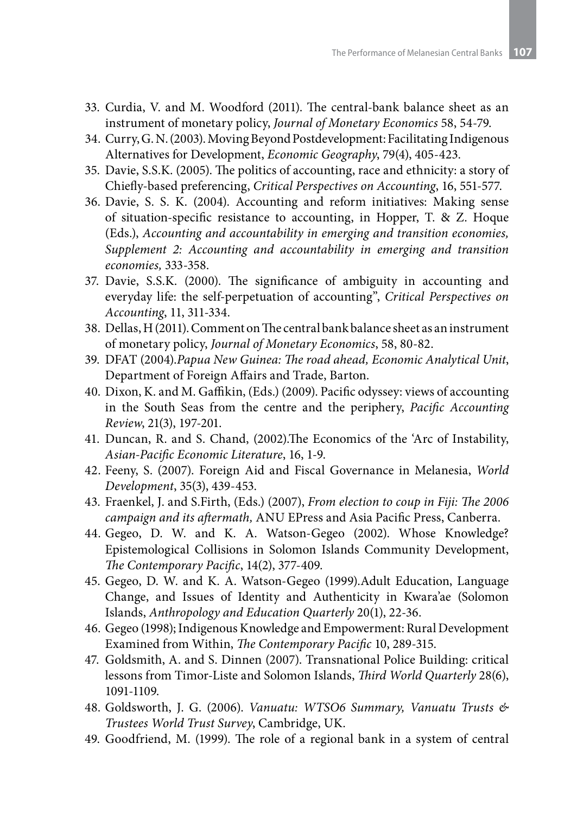- 33. Curdia, V. and M. Woodford (2011). The central-bank balance sheet as an instrument of monetary policy, *Journal of Monetary Economics* 58, 54-79.
- 34. Curry, G. N. (2003). Moving Beyond Postdevelopment: Facilitating Indigenous Alternatives for Development, *Economic Geography*, 79(4), 405-423.
- 35. Davie, S.S.K. (2005). The politics of accounting, race and ethnicity: a story of Chiefly-based preferencing, *Critical Perspectives on Accounting*, 16, 551-577.
- 36. Davie, S. S. K. (2004). Accounting and reform initiatives: Making sense of situation-specific resistance to accounting, in Hopper, T. & Z. Hoque (Eds.), *Accounting and accountability in emerging and transition economies, Supplement 2: Accounting and accountability in emerging and transition economies,* 333-358.
- 37. Davie, S.S.K. (2000). The significance of ambiguity in accounting and everyday life: the self-perpetuation of accounting", *Critical Perspectives on Accounting*, 11, 311-334.
- 38. Dellas, H (2011). Comment on The central bank balance sheet as an instrument of monetary policy, *Journal of Monetary Economics*, 58, 80-82.
- 39. DFAT (2004).*Papua New Guinea: The road ahead, Economic Analytical Unit*, Department of Foreign Affairs and Trade, Barton.
- 40. Dixon, K. and M. Gaffikin, (Eds.) (2009). Pacific odyssey: views of accounting in the South Seas from the centre and the periphery, *Pacific Accounting Review*, 21(3), 197-201.
- 41. Duncan, R. and S. Chand, (2002).The Economics of the 'Arc of Instability, *Asian-Pacific Economic Literature*, 16, 1-9.
- 42. Feeny, S. (2007). Foreign Aid and Fiscal Governance in Melanesia, *World Development*, 35(3), 439-453.
- 43. Fraenkel, J. and S.Firth, (Eds.) (2007), *From election to coup in Fiji: The 2006 campaign and its aftermath,* ANU EPress and Asia Pacific Press, Canberra.
- 44. Gegeo, D. W. and K. A. Watson-Gegeo (2002). Whose Knowledge? Epistemological Collisions in Solomon Islands Community Development, *The Contemporary Pacific*, 14(2), 377-409.
- 45. Gegeo, D. W. and K. A. Watson-Gegeo (1999).Adult Education, Language Change, and Issues of Identity and Authenticity in Kwara'ae (Solomon Islands, *Anthropology and Education Quarterly* 20(1), 22-36.
- 46. Gegeo (1998); Indigenous Knowledge and Empowerment: Rural Development Examined from Within, *The Contemporary Pacific* 10, 289-315.
- 47. Goldsmith, A. and S. Dinnen (2007). Transnational Police Building: critical lessons from Timor-Liste and Solomon Islands, *Third World Quarterly* 28(6), 1091-1109.
- 48. Goldsworth, J. G. (2006). *Vanuatu: WTSO6 Summary, Vanuatu Trusts & Trustees World Trust Survey*, Cambridge, UK.
- 49. Goodfriend, M. (1999). The role of a regional bank in a system of central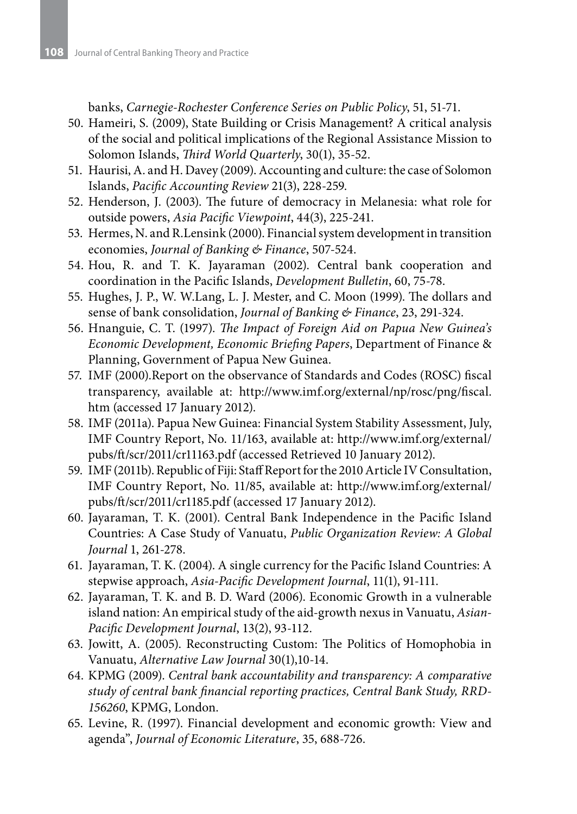banks, *Carnegie-Rochester Conference Series on Public Policy*, 51, 51-71.

- 50. Hameiri, S. (2009), State Building or Crisis Management? A critical analysis of the social and political implications of the Regional Assistance Mission to Solomon Islands, *Third World Quarterly*, 30(1), 35-52.
- 51. Haurisi, A. and H. Davey (2009). Accounting and culture: the case of Solomon Islands, *Pacific Accounting Review* 21(3), 228-259.
- 52. Henderson, J. (2003). The future of democracy in Melanesia: what role for outside powers, *Asia Pacific Viewpoint*, 44(3), 225-241.
- 53. Hermes, N. and R.Lensink (2000). Financial system development in transition economies, *Journal of Banking & Finance*, 507-524.
- 54. Hou, R. and T. K. Jayaraman (2002). Central bank cooperation and coordination in the Pacific Islands, *Development Bulletin*, 60, 75-78.
- 55. Hughes, J. P., W. W.Lang, L. J. Mester, and C. Moon (1999). The dollars and sense of bank consolidation, *Journal of Banking & Finance*, 23, 291-324.
- 56. Hnanguie, C. T. (1997). *The Impact of Foreign Aid on Papua New Guinea's Economic Development, Economic Briefing Papers*, Department of Finance & Planning, Government of Papua New Guinea.
- 57. IMF (2000).Report on the observance of Standards and Codes (ROSC) fiscal transparency, available at: http://www.imf.org/external/np/rosc/png/fiscal. htm (accessed 17 January 2012).
- 58. IMF (2011a). Papua New Guinea: Financial System Stability Assessment, July, IMF Country Report, No. 11/163, available at: http://www.imf.org/external/ pubs/ft/scr/2011/cr11163.pdf (accessed Retrieved 10 January 2012).
- 59. IMF (2011b). Republic of Fiji: Staff Report for the 2010 Article IV Consultation, IMF Country Report, No. 11/85, available at: http://www.imf.org/external/ pubs/ft/scr/2011/cr1185.pdf (accessed 17 January 2012).
- 60. Jayaraman, T. K. (2001). Central Bank Independence in the Pacific Island Countries: A Case Study of Vanuatu, *Public Organization Review: A Global Journal* 1, 261-278.
- 61. Jayaraman, T. K. (2004). A single currency for the Pacific Island Countries: A stepwise approach, *Asia-Pacific Development Journal*, 11(1), 91-111.
- 62. Jayaraman, T. K. and B. D. Ward (2006). Economic Growth in a vulnerable island nation: An empirical study of the aid-growth nexus in Vanuatu, *Asian-Pacific Development Journal*, 13(2), 93-112.
- 63. Jowitt, A. (2005). Reconstructing Custom: The Politics of Homophobia in Vanuatu, *Alternative Law Journal* 30(1),10-14.
- 64. KPMG (2009). *Central bank accountability and transparency: A comparative study of central bank financial reporting practices, Central Bank Study, RRD-156260*, KPMG, London.
- 65. Levine, R. (1997). Financial development and economic growth: View and agenda", *Journal of Economic Literature*, 35, 688-726.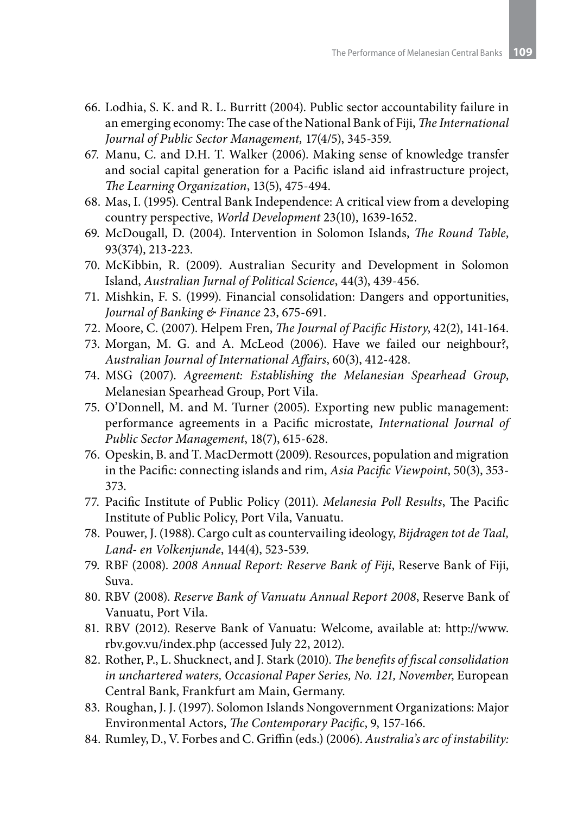- 66. Lodhia, S. K. and R. L. Burritt (2004). Public sector accountability failure in an emerging economy: The case of the National Bank of Fiji, *The International Journal of Public Sector Management,* 17(4/5), 345-359.
- 67. Manu, C. and D.H. T. Walker (2006). Making sense of knowledge transfer and social capital generation for a Pacific island aid infrastructure project, *The Learning Organization*, 13(5), 475-494.
- 68. Mas, I. (1995). Central Bank Independence: A critical view from a developing country perspective, *World Development* 23(10), 1639-1652.
- 69. McDougall, D. (2004). Intervention in Solomon Islands, *The Round Table*, 93(374), 213-223.
- 70. McKibbin, R. (2009). Australian Security and Development in Solomon Island, *Australian Jurnal of Political Science*, 44(3), 439-456.
- 71. Mishkin, F. S. (1999). Financial consolidation: Dangers and opportunities, *Journal of Banking & Finance* 23, 675-691.
- 72. Moore, C. (2007). Helpem Fren, *The Journal of Pacific History*, 42(2), 141-164.
- 73. Morgan, M. G. and A. McLeod (2006). Have we failed our neighbour?, *Australian Journal of International Affairs*, 60(3), 412-428.
- 74. MSG (2007). *Agreement: Establishing the Melanesian Spearhead Group*, Melanesian Spearhead Group, Port Vila.
- 75. O'Donnell, M. and M. Turner (2005). Exporting new public management: performance agreements in a Pacific microstate, *International Journal of Public Sector Management*, 18(7), 615-628.
- 76. Opeskin, B. and T. MacDermott (2009). Resources, population and migration in the Pacific: connecting islands and rim, *Asia Pacific Viewpoint*, 50(3), 353- 373.
- 77. Pacific Institute of Public Policy (2011). *Melanesia Poll Results*, The Pacific Institute of Public Policy, Port Vila, Vanuatu.
- 78. Pouwer, J. (1988). Cargo cult as countervailing ideology, *Bijdragen tot de Taal, Land- en Volkenjunde*, 144(4), 523-539.
- 79. RBF (2008). *2008 Annual Report: Reserve Bank of Fiji*, Reserve Bank of Fiji, Suva.
- 80. RBV (2008). *Reserve Bank of Vanuatu Annual Report 2008*, Reserve Bank of Vanuatu, Port Vila.
- 81. RBV (2012). Reserve Bank of Vanuatu: Welcome, available at: http://www. rbv.gov.vu/index.php (accessed July 22, 2012).
- 82. Rother, P., L. Shucknect, and J. Stark (2010). *The benefits of fiscal consolidation in unchartered waters, Occasional Paper Series, No. 121, November*, European Central Bank, Frankfurt am Main, Germany.
- 83. Roughan, J. J. (1997). Solomon Islands Nongovernment Organizations: Major Environmental Actors, *The Contemporary Pacific*, 9, 157-166.
- 84. Rumley, D., V. Forbes and C. Griffin (eds.) (2006). *Australia's arc of instability:*